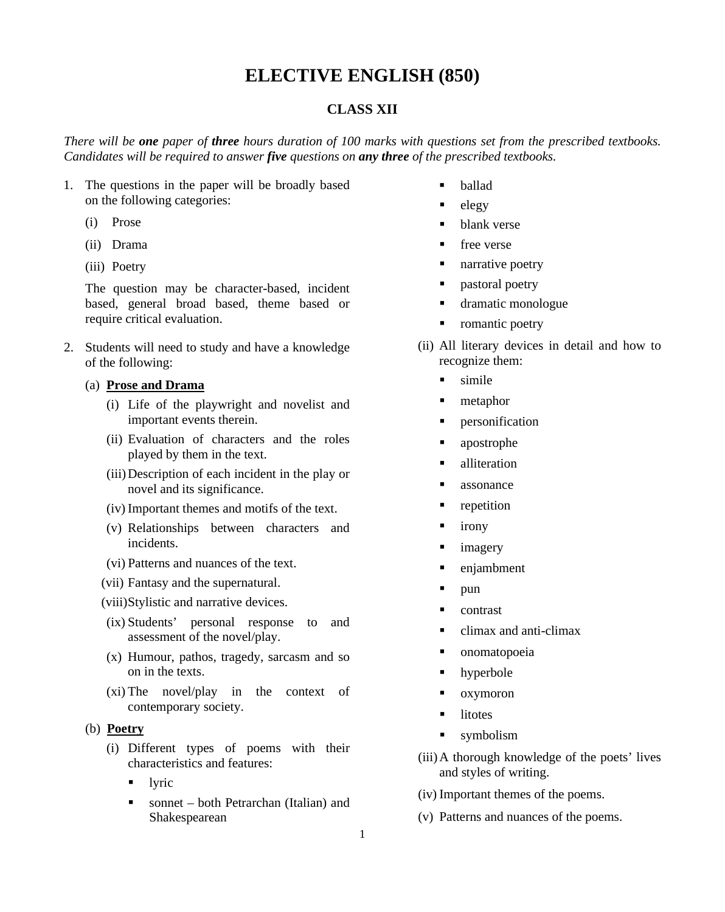## **ELECTIVE ENGLISH (850)**

## **CLASS XII**

*There will be one paper of three hours duration of 100 marks with questions set from the prescribed textbooks. Candidates will be required to answer five questions on any three of the prescribed textbooks.*

- 1. The questions in the paper will be broadly based on the following categories:
	- (i) Prose
	- (ii) Drama
	- (iii) Poetry

The question may be character-based, incident based, general broad based, theme based or require critical evaluation.

2. Students will need to study and have a knowledge of the following:

## (a) **Prose and Drama**

- (i) Life of the playwright and novelist and important events therein.
- (ii) Evaluation of characters and the roles played by them in the text.
- (iii)Description of each incident in the play or novel and its significance.
- (iv) Important themes and motifs of the text.
- (v) Relationships between characters and incidents.
- (vi) Patterns and nuances of the text.
- (vii) Fantasy and the supernatural.
- (viii)Stylistic and narrative devices.
- (ix) Students' personal response to and assessment of the novel/play.
- (x) Humour, pathos, tragedy, sarcasm and so on in the texts.
- (xi) The novel/play in the context of contemporary society.
- (b) **Poetry**
	- (i) Different types of poems with their characteristics and features:
		- lyric
		- sonnet both Petrarchan (Italian) and Shakespearean
- ballad
- $e$ legy
- blank verse
- **free** verse
- **narrative poetry**
- **•** pastoral poetry
- dramatic monologue
- romantic poetry
- (ii) All literary devices in detail and how to recognize them:
	- $\blacksquare$  simile
	- **n** metaphor
	- **•** personification
	- apostrophe
	- **alliteration**
	- **assonance**
	- **•** repetition
	- $\blacksquare$  irony
	- **imagery**
	- enjambment
	- $\blacksquare$  pun
	- **contrast**
	- climax and anti-climax
	- **•** onomatopoeia
	- **•** hyperbole
	- oxymoron
	- litotes
	- symbolism
- (iii)A thorough knowledge of the poets' lives and styles of writing.
- (iv) Important themes of the poems.
- (v) Patterns and nuances of the poems.